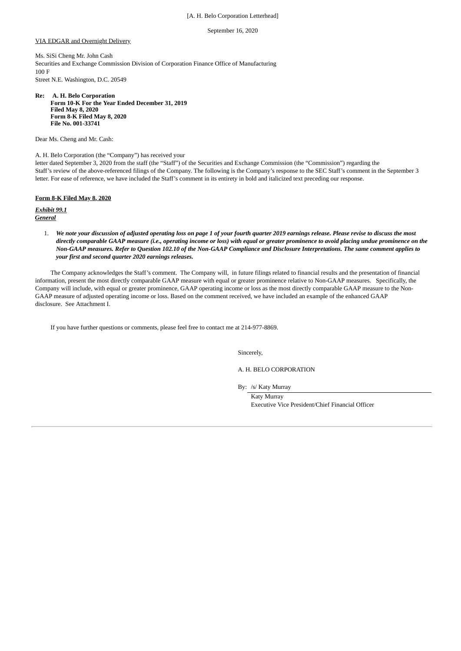### [A. H. Belo Corporation Letterhead]

September 16, 2020

### VIA EDGAR and Overnight Delivery

Ms. SiSi Cheng Mr. John Cash Securities and Exchange Commission Division of Corporation Finance Office of Manufacturing 100 F Street N.E. Washington, D.C. 20549

**Re: A. H. Belo Corporation Form 10-K For the Year Ended December 31, 2019 Filed May 8, 2020 Form 8-K Filed May 8, 2020 File No. 001-33741**

Dear Ms. Cheng and Mr. Cash:

A. H. Belo Corporation (the "Company") has received your

letter dated September 3, 2020 from the staff (the "Staff") of the Securities and Exchange Commission (the "Commission") regarding the Staff's review of the above-referenced filings of the Company. The following is the Company's response to the SEC Staff's comment in the September 3 letter. For ease of reference, we have included the Staff's comment in its entirety in bold and italicized text preceding our response.

## **Form 8-K Filed May 8, 2020**

*Exhibit 99.1 General*

> 1. *We note your discussion of adjusted operating loss on page 1 of your fourth quarter 2019 earnings release. Please revise to discuss the most directly comparable GAAP measure (i.e., operating income or loss) with equal or greater prominence to avoid placing undue prominence on the Non-GAAP measures. Refer to Question 102.10 of the Non-GAAP Compliance and Disclosure Interpretations. The same comment applies to your first and second quarter 2020 earnings releases.*

The Company acknowledges the Staff's comment. The Company will, in future filings related to financial results and the presentation of financial information, present the most directly comparable GAAP measure with equal or greater prominence relative to Non-GAAP measures. Specifically, the Company will include, with equal or greater prominence, GAAP operating income or loss as the most directly comparable GAAP measure to the Non-GAAP measure of adjusted operating income or loss. Based on the comment received, we have included an example of the enhanced GAAP disclosure. See Attachment I.

If you have further questions or comments, please feel free to contact me at 214-977-8869.

Sincerely,

A. H. BELO CORPORATION

By: /s/ Katy Murray

Katy Murray Executive Vice President/Chief Financial Officer